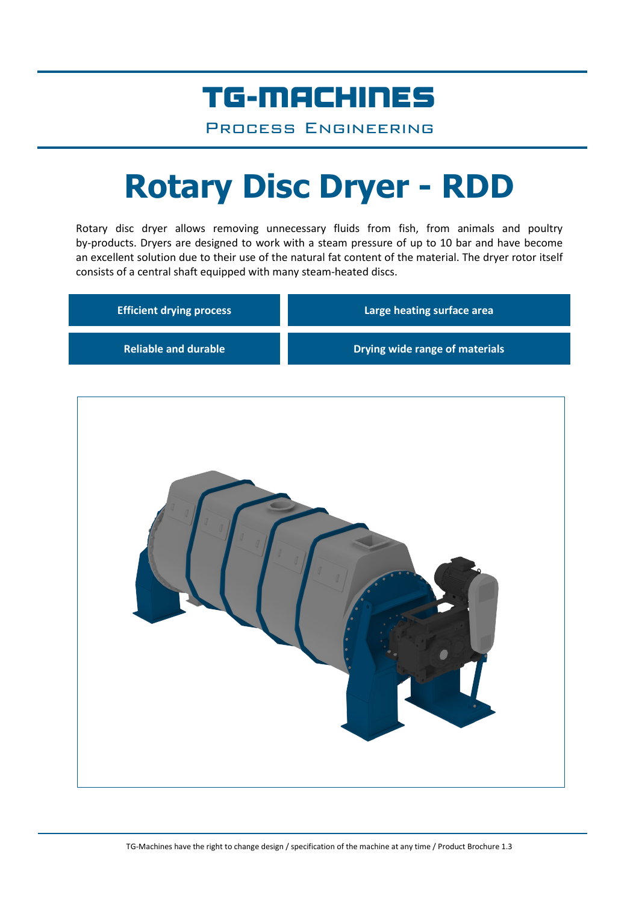## TG-MACHINES

Process Engineering

# **Rotary Disc Dryer - RDD**

Rotary disc dryer allows removing unnecessary fluids from fish, from animals and poultry by-products. Dryers are designed to work with a steam pressure of up to 10 bar and have become an excellent solution due to their use of the natural fat content of the material. The dryer rotor itself consists of a central shaft equipped with many steam-heated discs.

| <b>Efficient drying process</b> | Large heating surface area     |  |  |
|---------------------------------|--------------------------------|--|--|
| <b>Reliable and durable</b>     | Drying wide range of materials |  |  |